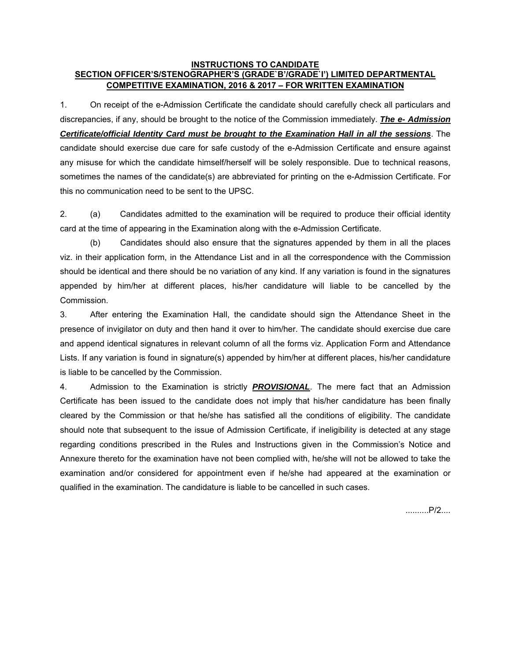#### **INSTRUCTIONS TO CANDIDATE SECTION OFFICER'S/STENOGRAPHER'S (GRADE`B'/GRADE`I') LIMITED DEPARTMENTAL COMPETITIVE EXAMINATION, 2016 & 2017 – FOR WRITTEN EXAMINATION**

1. On receipt of the e-Admission Certificate the candidate should carefully check all particulars and discrepancies, if any, should be brought to the notice of the Commission immediately. *The e- Admission Certificate/official Identity Card must be brought to the Examination Hall in all the sessions*. The candidate should exercise due care for safe custody of the e-Admission Certificate and ensure against any misuse for which the candidate himself/herself will be solely responsible. Due to technical reasons, sometimes the names of the candidate(s) are abbreviated for printing on the e-Admission Certificate. For this no communication need to be sent to the UPSC.

2. (a) Candidates admitted to the examination will be required to produce their official identity card at the time of appearing in the Examination along with the e-Admission Certificate.

 (b) Candidates should also ensure that the signatures appended by them in all the places viz. in their application form, in the Attendance List and in all the correspondence with the Commission should be identical and there should be no variation of any kind. If any variation is found in the signatures appended by him/her at different places, his/her candidature will liable to be cancelled by the Commission.

3. After entering the Examination Hall, the candidate should sign the Attendance Sheet in the presence of invigilator on duty and then hand it over to him/her. The candidate should exercise due care and append identical signatures in relevant column of all the forms viz. Application Form and Attendance Lists. If any variation is found in signature(s) appended by him/her at different places, his/her candidature is liable to be cancelled by the Commission.

4. Admission to the Examination is strictly *PROVISIONAL*. The mere fact that an Admission Certificate has been issued to the candidate does not imply that his/her candidature has been finally cleared by the Commission or that he/she has satisfied all the conditions of eligibility. The candidate should note that subsequent to the issue of Admission Certificate, if ineligibility is detected at any stage regarding conditions prescribed in the Rules and Instructions given in the Commission's Notice and Annexure thereto for the examination have not been complied with, he/she will not be allowed to take the examination and/or considered for appointment even if he/she had appeared at the examination or qualified in the examination. The candidature is liable to be cancelled in such cases.

..........P/2....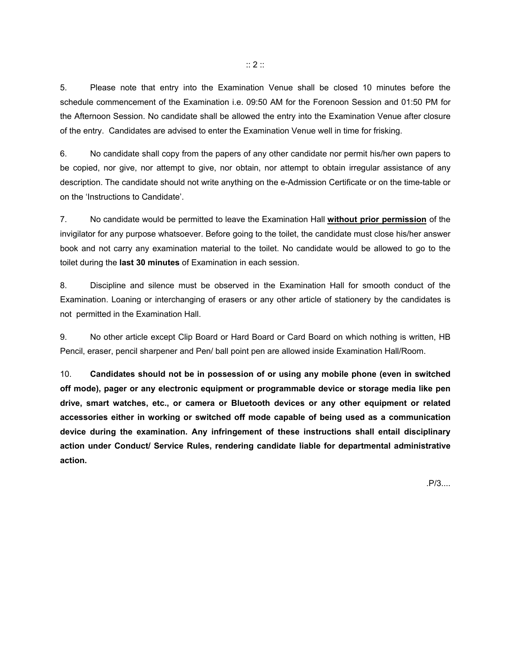5. Please note that entry into the Examination Venue shall be closed 10 minutes before the schedule commencement of the Examination i.e. 09:50 AM for the Forenoon Session and 01:50 PM for the Afternoon Session. No candidate shall be allowed the entry into the Examination Venue after closure of the entry. Candidates are advised to enter the Examination Venue well in time for frisking.

6. No candidate shall copy from the papers of any other candidate nor permit his/her own papers to be copied, nor give, nor attempt to give, nor obtain, nor attempt to obtain irregular assistance of any description. The candidate should not write anything on the e-Admission Certificate or on the time-table or on the 'Instructions to Candidate'.

7. No candidate would be permitted to leave the Examination Hall **without prior permission** of the invigilator for any purpose whatsoever. Before going to the toilet, the candidate must close his/her answer book and not carry any examination material to the toilet. No candidate would be allowed to go to the toilet during the **last 30 minutes** of Examination in each session.

8. Discipline and silence must be observed in the Examination Hall for smooth conduct of the Examination. Loaning or interchanging of erasers or any other article of stationery by the candidates is not permitted in the Examination Hall.

9. No other article except Clip Board or Hard Board or Card Board on which nothing is written, HB Pencil, eraser, pencil sharpener and Pen/ ball point pen are allowed inside Examination Hall/Room.

10. **Candidates should not be in possession of or using any mobile phone (even in switched off mode), pager or any electronic equipment or programmable device or storage media like pen drive, smart watches, etc., or camera or Bluetooth devices or any other equipment or related accessories either in working or switched off mode capable of being used as a communication device during the examination. Any infringement of these instructions shall entail disciplinary action under Conduct/ Service Rules, rendering candidate liable for departmental administrative action.** 

.P/3....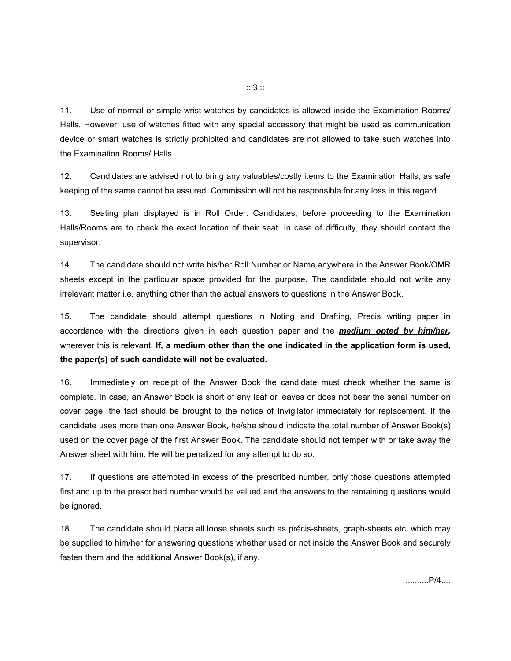11. Use of normal or simple wrist watches by candidates is allowed inside the Examination Rooms/ Halls. However, use of watches fitted with any special accessory that might be used as communication device or smart watches is strictly prohibited and candidates are not allowed to take such watches into the Examination Rooms/ Halls.

12. Candidates are advised not to bring any valuables/costly items to the Examination Halls, as safe keeping of the same cannot be assured. Commission will not be responsible for any loss in this regard.

13. Seating plan displayed is in Roll Order. Candidates, before proceeding to the Examination Halls/Rooms are to check the exact location of their seat. In case of difficulty, they should contact the supervisor.

14. The candidate should not write his/her Roll Number or Name anywhere in the Answer Book/OMR sheets except in the particular space provided for the purpose. The candidate should not write any irrelevant matter i.e. anything other than the actual answers to questions in the Answer Book.

15. The candidate should attempt questions in Noting and Drafting, Precis writing paper in accordance with the directions given in each question paper and the *medium opted by him/her,*  wherever this is relevant. **If, a medium other than the one indicated in the application form is used, the paper(s) of such candidate will not be evaluated.** 

16. Immediately on receipt of the Answer Book the candidate must check whether the same is complete. In case, an Answer Book is short of any leaf or leaves or does not bear the serial number on cover page, the fact should be brought to the notice of Invigilator immediately for replacement. If the candidate uses more than one Answer Book, he/she should indicate the total number of Answer Book(s) used on the cover page of the first Answer Book. The candidate should not temper with or take away the Answer sheet with him. He will be penalized for any attempt to do so.

17. If questions are attempted in excess of the prescribed number, only those questions attempted first and up to the prescribed number would be valued and the answers to the remaining questions would be ignored.

18. The candidate should place all loose sheets such as précis-sheets, graph-sheets etc. which may be supplied to him/her for answering questions whether used or not inside the Answer Book and securely fasten them and the additional Answer Book(s), if any.

..........P/4....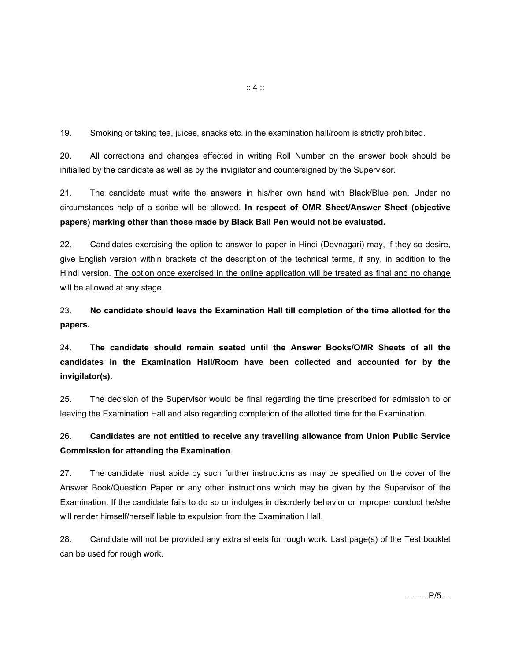19. Smoking or taking tea, juices, snacks etc. in the examination hall/room is strictly prohibited.

20. All corrections and changes effected in writing Roll Number on the answer book should be initialled by the candidate as well as by the invigilator and countersigned by the Supervisor.

21. The candidate must write the answers in his/her own hand with Black/Blue pen. Under no circumstances help of a scribe will be allowed. **In respect of OMR Sheet/Answer Sheet (objective papers) marking other than those made by Black Ball Pen would not be evaluated.** 

22. Candidates exercising the option to answer to paper in Hindi (Devnagari) may, if they so desire, give English version within brackets of the description of the technical terms, if any, in addition to the Hindi version. The option once exercised in the online application will be treated as final and no change will be allowed at any stage.

23. **No candidate should leave the Examination Hall till completion of the time allotted for the papers.**

24. **The candidate should remain seated until the Answer Books/OMR Sheets of all the candidates in the Examination Hall/Room have been collected and accounted for by the invigilator(s).**

25. The decision of the Supervisor would be final regarding the time prescribed for admission to or leaving the Examination Hall and also regarding completion of the allotted time for the Examination.

## 26. **Candidates are not entitled to receive any travelling allowance from Union Public Service Commission for attending the Examination**.

27. The candidate must abide by such further instructions as may be specified on the cover of the Answer Book/Question Paper or any other instructions which may be given by the Supervisor of the Examination. If the candidate fails to do so or indulges in disorderly behavior or improper conduct he/she will render himself/herself liable to expulsion from the Examination Hall.

28. Candidate will not be provided any extra sheets for rough work. Last page(s) of the Test booklet can be used for rough work.

..........P/5....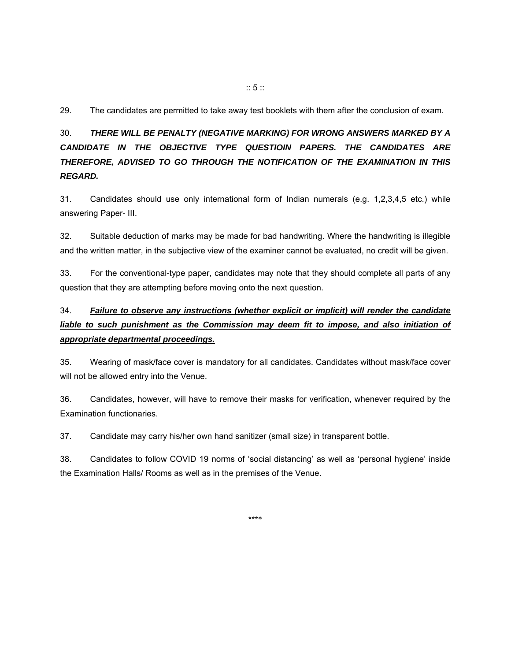29. The candidates are permitted to take away test booklets with them after the conclusion of exam.

# 30. *THERE WILL BE PENALTY (NEGATIVE MARKING) FOR WRONG ANSWERS MARKED BY A CANDIDATE IN THE OBJECTIVE TYPE QUESTIOIN PAPERS. THE CANDIDATES ARE THEREFORE, ADVISED TO GO THROUGH THE NOTIFICATION OF THE EXAMINATION IN THIS REGARD.*

31. Candidates should use only international form of Indian numerals (e.g. 1,2,3,4,5 etc.) while answering Paper- III.

32. Suitable deduction of marks may be made for bad handwriting. Where the handwriting is illegible and the written matter, in the subjective view of the examiner cannot be evaluated, no credit will be given.

33. For the conventional-type paper, candidates may note that they should complete all parts of any question that they are attempting before moving onto the next question.

# 34. *Failure to observe any instructions (whether explicit or implicit) will render the candidate*  liable to such punishment as the Commission may deem fit to impose, and also initiation of *appropriate departmental proceedings.*

35. Wearing of mask/face cover is mandatory for all candidates. Candidates without mask/face cover will not be allowed entry into the Venue.

36. Candidates, however, will have to remove their masks for verification, whenever required by the Examination functionaries.

37. Candidate may carry his/her own hand sanitizer (small size) in transparent bottle.

38. Candidates to follow COVID 19 norms of 'social distancing' as well as 'personal hygiene' inside the Examination Halls/ Rooms as well as in the premises of the Venue.

\*\*\*\*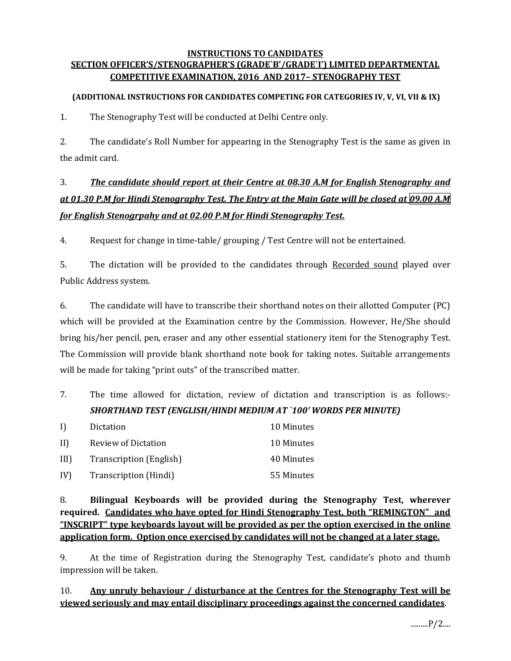#### **INSTRUCTIONS TO CANDIDATES SECTION OFFICER'S/STENOGRAPHER'S (GRADE`B'/GRADE`I') LIMITED DEPARTMENTAL COMPETITIVE EXAMINATION, 2016 AND 2017– STENOGRAPHY TEST**

### **(ADDITIONAL INSTRUCTIONS FOR CANDIDATES COMPETING FOR CATEGORIES IV, V, VI, VII & IX)**

1. The Stenography Test will be conducted at Delhi Centre only.

2. The candidate's Roll Number for appearing in the Stenography Test is the same as given in the admit card.

# 3. *The candidate should report at their Centre at 08.30 A.M for English Stenography and* at 01.30 P.M for Hindi Stenography Test. The Entry at the Main Gate will be closed at 09.00 A.M *for English Stenogrpahy and at 02.00 P.M for Hindi Stenography Test.*

4. Request for change in time-table/ grouping / Test Centre will not be entertained.

5. The dictation will be provided to the candidates through Recorded sound played over Public Address system.

6. The candidate will have to transcribe their shorthand notes on their allotted Computer (PC) which will be provided at the Examination centre by the Commission. However, He/She should bring his/her pencil, pen, eraser and any other essential stationery item for the Stenography Test. The Commission will provide blank shorthand note book for taking notes. Suitable arrangements will be made for taking "print outs" of the transcribed matter.

7. The time allowed for dictation, review of dictation and transcription is as follows:- *SHORTHAND TEST (ENGLISH/HINDI MEDIUM AT `100' WORDS PER MINUTE)*

| I)          | Dictation               | 10 Minutes |
|-------------|-------------------------|------------|
| $\text{II}$ | Review of Dictation     | 10 Minutes |
| III)        | Transcription (English) | 40 Minutes |
| IV)         | Transcription (Hindi)   | 55 Minutes |

8. **Bilingual Keyboards will be provided during the Stenography Test, wherever required. Candidates who have opted for Hindi Stenography Test, both "REMINGTON" and "INSCRIPT" type keyboards layout will be provided as per the option exercised in the online application form. Option once exercised by candidates will not be changed at a later stage.**

9. At the time of Registration during the Stenography Test, candidate's photo and thumb impression will be taken.

## 10. **Any unruly behaviour / disturbance at the Centres for the Stenography Test will be viewed seriously and may entail disciplinary proceedings against the concerned candidates**.